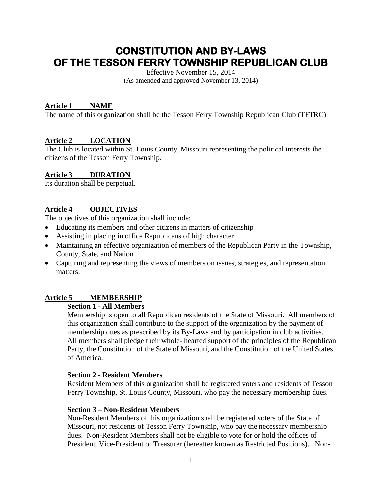# **CONSTITUTION AND BY-LAWS OF THE TESSON FERRY TOWNSHIP REPUBLICAN CLUB**

Effective November 15, 2014 (As amended and approved November 13, 2014)

# **Article 1 NAME**

The name of this organization shall be the Tesson Ferry Township Republican Club (TFTRC)

# **Article 2 LOCATION**

The Club is located within St. Louis County, Missouri representing the political interests the citizens of the Tesson Ferry Township.

# **Article 3 DURATION**

Its duration shall be perpetual.

# **Article 4 OBJECTIVES**

The objectives of this organization shall include:

- Educating its members and other citizens in matters of citizenship
- Assisting in placing in office Republicans of high character
- Maintaining an effective organization of members of the Republican Party in the Township, County, State, and Nation
- Capturing and representing the views of members on issues, strategies, and representation matters.

# **Article 5 MEMBERSHIP**

## **Section 1 - All Members**

Membership is open to all Republican residents of the State of Missouri. All members of this organization shall contribute to the support of the organization by the payment of membership dues as prescribed by its By-Laws and by participation in club activities. All members shall pledge their whole- hearted support of the principles of the Republican Party, the Constitution of the State of Missouri, and the Constitution of the United States of America.

# **Section 2 - Resident Members**

Resident Members of this organization shall be registered voters and residents of Tesson Ferry Township, St. Louis County, Missouri, who pay the necessary membership dues.

#### **Section 3 – Non-Resident Members**

Non-Resident Members of this organization shall be registered voters of the State of Missouri, not residents of Tesson Ferry Township, who pay the necessary membership dues. Non-Resident Members shall not be eligible to vote for or hold the offices of President, Vice-President or Treasurer (hereafter known as Restricted Positions). Non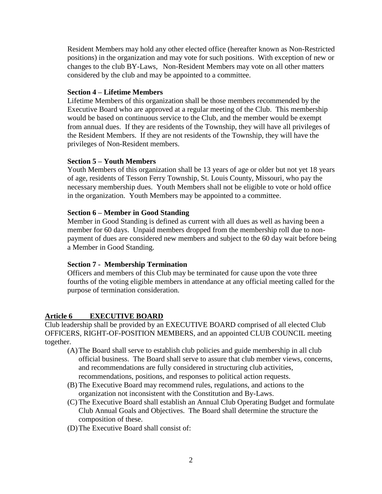Resident Members may hold any other elected office (hereafter known as Non-Restricted positions) in the organization and may vote for such positions. With exception of new or changes to the club BY-Laws, Non-Resident Members may vote on all other matters considered by the club and may be appointed to a committee.

#### **Section 4 – Lifetime Members**

Lifetime Members of this organization shall be those members recommended by the Executive Board who are approved at a regular meeting of the Club. This membership would be based on continuous service to the Club, and the member would be exempt from annual dues. If they are residents of the Township, they will have all privileges of the Resident Members. If they are not residents of the Township, they will have the privileges of Non-Resident members.

## **Section 5 – Youth Members**

Youth Members of this organization shall be 13 years of age or older but not yet 18 years of age, residents of Tesson Ferry Township, St. Louis County, Missouri, who pay the necessary membership dues. Youth Members shall not be eligible to vote or hold office in the organization. Youth Members may be appointed to a committee.

## **Section 6 – Member in Good Standing**

Member in Good Standing is defined as current with all dues as well as having been a member for 60 days. Unpaid members dropped from the membership roll due to nonpayment of dues are considered new members and subject to the 60 day wait before being a Member in Good Standing.

# **Section 7 - Membership Termination**

Officers and members of this Club may be terminated for cause upon the vote three fourths of the voting eligible members in attendance at any official meeting called for the purpose of termination consideration.

# **Article 6 EXECUTIVE BOARD**

Club leadership shall be provided by an EXECUTIVE BOARD comprised of all elected Club OFFICERS, RIGHT-OF-POSITION MEMBERS, and an appointed CLUB COUNCIL meeting together.

- (A)The Board shall serve to establish club policies and guide membership in all club official business. The Board shall serve to assure that club member views, concerns, and recommendations are fully considered in structuring club activities, recommendations, positions, and responses to political action requests.
- (B) The Executive Board may recommend rules, regulations, and actions to the organization not inconsistent with the Constitution and By-Laws.
- (C) The Executive Board shall establish an Annual Club Operating Budget and formulate Club Annual Goals and Objectives. The Board shall determine the structure the composition of these.
- (D)The Executive Board shall consist of: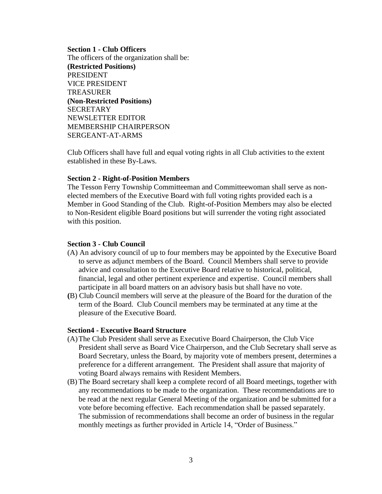#### **Section 1 - Club Officers**

The officers of the organization shall be: **(Restricted Positions)** PRESIDENT VICE PRESIDENT TREASURER **(Non-Restricted Positions) SECRETARY** NEWSLETTER EDITOR MEMBERSHIP CHAIRPERSON SERGEANT-AT-ARMS

Club Officers shall have full and equal voting rights in all Club activities to the extent established in these By-Laws.

#### **Section 2 - Right-of-Position Members**

The Tesson Ferry Township Committeeman and Committeewoman shall serve as nonelected members of the Executive Board with full voting rights provided each is a Member in Good Standing of the Club. Right-of-Position Members may also be elected to Non-Resident eligible Board positions but will surrender the voting right associated with this position.

#### **Section 3 - Club Council**

- (A) An advisory council of up to four members may be appointed by the Executive Board to serve as adjunct members of the Board. Council Members shall serve to provide advice and consultation to the Executive Board relative to historical, political, financial, legal and other pertinent experience and expertise. Council members shall participate in all board matters on an advisory basis but shall have no vote.
- **(**B) Club Council members will serve at the pleasure of the Board for the duration of the term of the Board. Club Council members may be terminated at any time at the pleasure of the Executive Board.

#### **Section4 - Executive Board Structure**

- (A)The Club President shall serve as Executive Board Chairperson, the Club Vice President shall serve as Board Vice Chairperson, and the Club Secretary shall serve as Board Secretary, unless the Board, by majority vote of members present, determines a preference for a different arrangement. The President shall assure that majority of voting Board always remains with Resident Members.
- (B) The Board secretary shall keep a complete record of all Board meetings, together with any recommendations to be made to the organization. These recommendations are to be read at the next regular General Meeting of the organization and be submitted for a vote before becoming effective. Each recommendation shall be passed separately. The submission of recommendations shall become an order of business in the regular monthly meetings as further provided in Article 14, "Order of Business."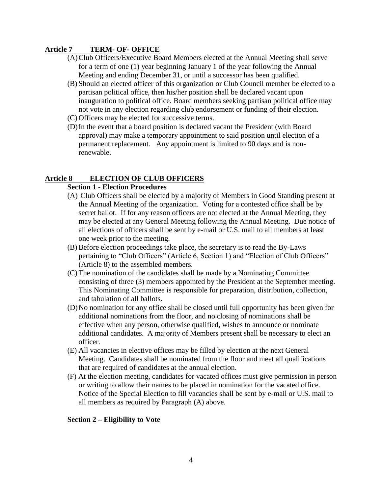# **Article 7 TERM- OF- OFFICE**

- (A)Club Officers/Executive Board Members elected at the Annual Meeting shall serve for a term of one (1) year beginning January 1 of the year following the Annual Meeting and ending December 31, or until a successor has been qualified.
- (B) Should an elected officer of this organization or Club Council member be elected to a partisan political office, then his/her position shall be declared vacant upon inauguration to political office. Board members seeking partisan political office may not vote in any election regarding club endorsement or funding of their election.
- (C) Officers may be elected for successive terms.
- (D)In the event that a board position is declared vacant the President (with Board approval) may make a temporary appointment to said position until election of a permanent replacement. Any appointment is limited to 90 days and is nonrenewable.

## **Article 8 ELECTION OF CLUB OFFICERS**

#### **Section 1 - Election Procedures**

- (A) Club Officers shall be elected by a majority of Members in Good Standing present at the Annual Meeting of the organization. Voting for a contested office shall be by secret ballot. If for any reason officers are not elected at the Annual Meeting, they may be elected at any General Meeting following the Annual Meeting. Due notice of all elections of officers shall be sent by e-mail or U.S. mail to all members at least one week prior to the meeting.
- (B) Before election proceedings take place, the secretary is to read the By-Laws pertaining to "Club Officers" (Article 6, Section 1) and "Election of Club Officers" (Article 8) to the assembled members.
- (C) The nomination of the candidates shall be made by a Nominating Committee consisting of three (3) members appointed by the President at the September meeting. This Nominating Committee is responsible for preparation, distribution, collection, and tabulation of all ballots.
- (D)No nomination for any office shall be closed until full opportunity has been given for additional nominations from the floor, and no closing of nominations shall be effective when any person, otherwise qualified, wishes to announce or nominate additional candidates. A majority of Members present shall be necessary to elect an officer.
- (E) All vacancies in elective offices may be filled by election at the next General Meeting. Candidates shall be nominated from the floor and meet all qualifications that are required of candidates at the annual election.
- (F) At the election meeting, candidates for vacated offices must give permission in person or writing to allow their names to be placed in nomination for the vacated office. Notice of the Special Election to fill vacancies shall be sent by e-mail or U.S. mail to all members as required by Paragraph (A) above.

#### **Section 2 – Eligibility to Vote**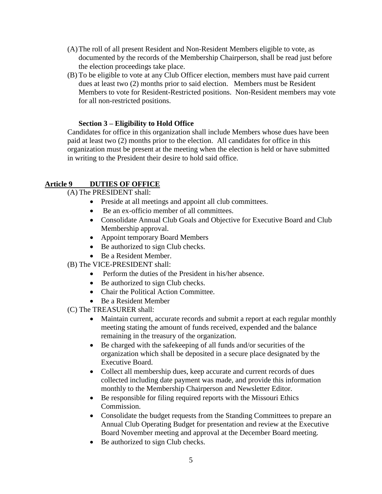- (A)The roll of all present Resident and Non-Resident Members eligible to vote, as documented by the records of the Membership Chairperson, shall be read just before the election proceedings take place.
- (B) To be eligible to vote at any Club Officer election, members must have paid current dues at least two (2) months prior to said election. Members must be Resident Members to vote for Resident-Restricted positions. Non-Resident members may vote for all non-restricted positions.

## **Section 3 – Eligibility to Hold Office**

Candidates for office in this organization shall include Members whose dues have been paid at least two (2) months prior to the election. All candidates for office in this organization must be present at the meeting when the election is held or have submitted in writing to the President their desire to hold said office.

# **Article 9 DUTIES OF OFFICE**

# (A) The PRESIDENT shall:

- Preside at all meetings and appoint all club committees.
- Be an ex-officio member of all committees.
- Consolidate Annual Club Goals and Objective for Executive Board and Club Membership approval.
- Appoint temporary Board Members
- Be authorized to sign Club checks.
- Be a Resident Member.

(B) The VICE-PRESIDENT shall:

- Perform the duties of the President in his/her absence.
- Be authorized to sign Club checks.
- Chair the Political Action Committee.
- Be a Resident Member

(C) The TREASURER shall:

- Maintain current, accurate records and submit a report at each regular monthly meeting stating the amount of funds received, expended and the balance remaining in the treasury of the organization.
- Be charged with the safekeeping of all funds and/or securities of the organization which shall be deposited in a secure place designated by the Executive Board.
- Collect all membership dues, keep accurate and current records of dues collected including date payment was made, and provide this information monthly to the Membership Chairperson and Newsletter Editor.
- Be responsible for filing required reports with the Missouri Ethics Commission.
- Consolidate the budget requests from the Standing Committees to prepare an Annual Club Operating Budget for presentation and review at the Executive Board November meeting and approval at the December Board meeting.
- Be authorized to sign Club checks.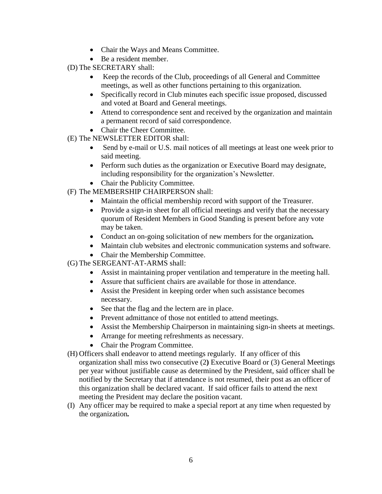- Chair the Ways and Means Committee.
- Be a resident member.

(D) The SECRETARY shall:

- Keep the records of the Club, proceedings of all General and Committee meetings, as well as other functions pertaining to this organization*.*
- Specifically record in Club minutes each specific issue proposed, discussed and voted at Board and General meetings.
- Attend to correspondence sent and received by the organization and maintain a permanent record of said correspondence.
- Chair the Cheer Committee.
- (E) The NEWSLETTER EDITOR shall:
	- Send by e-mail or U.S. mail notices of all meetings at least one week prior to said meeting.
	- Perform such duties as the organization or Executive Board may designate, including responsibility for the organization's Newsletter.
	- Chair the Publicity Committee.
- (F) The MEMBERSHIP CHAIRPERSON shall:
	- Maintain the official membership record with support of the Treasurer.
	- Provide a sign-in sheet for all official meetings and verify that the necessary quorum of Resident Members in Good Standing is present before any vote may be taken.
	- Conduct an on-going solicitation of new members for the organization*.*
	- Maintain club websites and electronic communication systems and software.
	- Chair the Membership Committee.
- (G) The SERGEANT-AT-ARMS shall:
	- Assist in maintaining proper ventilation and temperature in the meeting hall.
	- Assure that sufficient chairs are available for those in attendance.
	- Assist the President in keeping order when such assistance becomes necessary.
	- See that the flag and the lectern are in place.
	- Prevent admittance of those not entitled to attend meetings.
	- Assist the Membership Chairperson in maintaining sign-in sheets at meetings.
	- Arrange for meeting refreshments as necessary.
	- Chair the Program Committee.
- (H) Officers shall endeavor to attend meetings regularly. If any officer of this organization shall miss two consecutive (2**)** Executive Board or (3) General Meetings per year without justifiable cause as determined by the President, said officer shall be notified by the Secretary that if attendance is not resumed, their post as an officer of this organization shall be declared vacant. If said officer fails to attend the next meeting the President may declare the position vacant.
- (I) Any officer may be required to make a special report at any time when requested by the organization*.*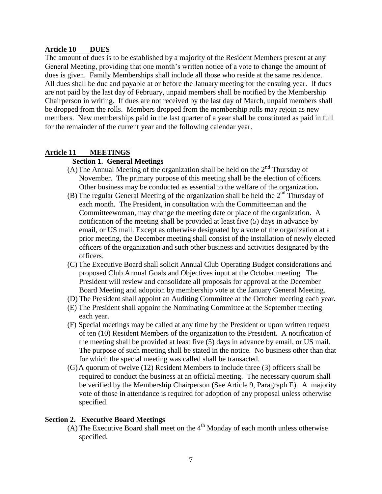#### **Article 10 DUES**

The amount of dues is to be established by a majority of the Resident Members present at any General Meeting, providing that one month's written notice of a vote to change the amount of dues is given. Family Memberships shall include all those who reside at the same residence. All dues shall be due and payable at or before the January meeting for the ensuing year. If dues are not paid by the last day of February, unpaid members shall be notified by the Membership Chairperson in writing. If dues are not received by the last day of March, unpaid members shall be dropped from the rolls. Members dropped from the membership rolls may rejoin as new members. New memberships paid in the last quarter of a year shall be constituted as paid in full for the remainder of the current year and the following calendar year.

#### **Article 11 MEETINGS**

#### **Section 1. General Meetings**

- (A) The Annual Meeting of the organization shall be held on the  $2<sup>nd</sup>$  Thursday of November. The primary purpose of this meeting shall be the election of officers. Other business may be conducted as essential to the welfare of the organization*.*
- (B) The regular General Meeting of the organization shall be held the  $2<sup>nd</sup>$  Thursday of each month. The President, in consultation with the Committeeman and the Committeewoman, may change the meeting date or place of the organization. A notification of the meeting shall be provided at least five (5) days in advance by email, or US mail. Except as otherwise designated by a vote of the organization at a prior meeting, the December meeting shall consist of the installation of newly elected officers of the organization and such other business and activities designated by the officers.
- (C) The Executive Board shall solicit Annual Club Operating Budget considerations and proposed Club Annual Goals and Objectives input at the October meeting. The President will review and consolidate all proposals for approval at the December Board Meeting and adoption by membership vote at the January General Meeting.
- (D) The President shall appoint an Auditing Committee at the October meeting each year.
- (E) The President shall appoint the Nominating Committee at the September meeting each year.
- (F) Special meetings may be called at any time by the President or upon written request of ten (10) Resident Members of the organization to the President. A notification of the meeting shall be provided at least five (5) days in advance by email, or US mail. The purpose of such meeting shall be stated in the notice. No business other than that for which the special meeting was called shall be transacted.
- (G)A quorum of twelve (12) Resident Members to include three (3) officers shall be required to conduct the business at an official meeting. The necessary quorum shall be verified by the Membership Chairperson (See Article 9, Paragraph E). A majority vote of those in attendance is required for adoption of any proposal unless otherwise specified.

#### **Section 2. Executive Board Meetings**

(A) The Executive Board shall meet on the  $4<sup>th</sup>$  Monday of each month unless otherwise specified.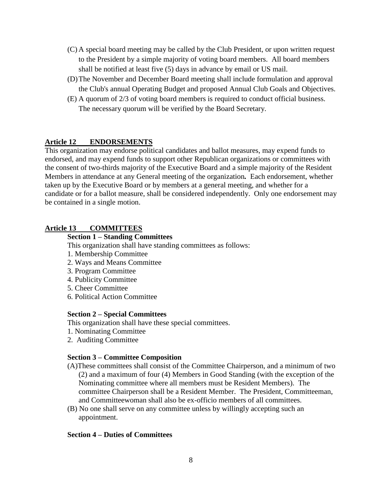- (C) A special board meeting may be called by the Club President, or upon written request to the President by a simple majority of voting board members. All board members shall be notified at least five (5) days in advance by email or US mail.
- (D)The November and December Board meeting shall include formulation and approval the Club's annual Operating Budget and proposed Annual Club Goals and Objectives.
- (E) A quorum of 2/3 of voting board members is required to conduct official business. The necessary quorum will be verified by the Board Secretary.

# **Article 12 ENDORSEMENTS**

This organization may endorse political candidates and ballot measures, may expend funds to endorsed, and may expend funds to support other Republican organizations or committees with the consent of two-thirds majority of the Executive Board and a simple majority of the Resident Members in attendance at any General meeting of the organization*.* Each endorsement, whether taken up by the Executive Board or by members at a general meeting, and whether for a candidate or for a ballot measure, shall be considered independently. Only one endorsement may be contained in a single motion.

# **Article 13 COMMITTEES**

#### **Section 1 – Standing Committees**

This organization shall have standing committees as follows:

- 1. Membership Committee
- 2. Ways and Means Committee
- 3. Program Committee
- 4. Publicity Committee
- 5. Cheer Committee
- 6. Political Action Committee

#### **Section 2 – Special Committees**

This organization shall have these special committees.

- 1. Nominating Committee
- 2. Auditing Committee

#### **Section 3 – Committee Composition**

- (A)These committees shall consist of the Committee Chairperson, and a minimum of two (2) and a maximum of four (4) Members in Good Standing (with the exception of the Nominating committee where all members must be Resident Members). The committee Chairperson shall be a Resident Member. The President, Committeeman, and Committeewoman shall also be ex-officio members of all committees.
- (B) No one shall serve on any committee unless by willingly accepting such an appointment.

#### **Section 4 – Duties of Committees**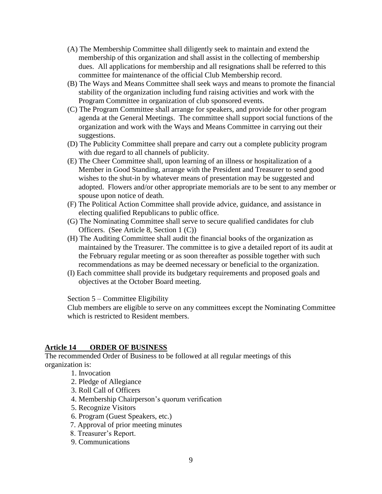- (A) The Membership Committee shall diligently seek to maintain and extend the membership of this organization and shall assist in the collecting of membership dues. All applications for membership and all resignations shall be referred to this committee for maintenance of the official Club Membership record.
- (B) The Ways and Means Committee shall seek ways and means to promote the financial stability of the organization including fund raising activities and work with the Program Committee in organization of club sponsored events.
- (C) The Program Committee shall arrange for speakers, and provide for other program agenda at the General Meetings. The committee shall support social functions of the organization and work with the Ways and Means Committee in carrying out their suggestions.
- (D) The Publicity Committee shall prepare and carry out a complete publicity program with due regard to all channels of publicity.
- (E) The Cheer Committee shall, upon learning of an illness or hospitalization of a Member in Good Standing, arrange with the President and Treasurer to send good wishes to the shut-in by whatever means of presentation may be suggested and adopted. Flowers and/or other appropriate memorials are to be sent to any member or spouse upon notice of death.
- (F) The Political Action Committee shall provide advice, guidance, and assistance in electing qualified Republicans to public office.
- (G) The Nominating Committee shall serve to secure qualified candidates for club Officers. (See Article 8, Section 1 (C))
- (H) The Auditing Committee shall audit the financial books of the organization as maintained by the Treasurer. The committee is to give a detailed report of its audit at the February regular meeting or as soon thereafter as possible together with such recommendations as may be deemed necessary or beneficial to the organization.
- (I) Each committee shall provide its budgetary requirements and proposed goals and objectives at the October Board meeting.

Section 5 – Committee Eligibility

Club members are eligible to serve on any committees except the Nominating Committee which is restricted to Resident members.

# **Article 14 ORDER OF BUSINESS**

The recommended Order of Business to be followed at all regular meetings of this organization is:

- 1. Invocation
- 2. Pledge of Allegiance
- 3. Roll Call of Officers
- 4. Membership Chairperson's quorum verification
- 5. Recognize Visitors
- 6. Program (Guest Speakers, etc.)
- 7. Approval of prior meeting minutes
- 8. Treasurer's Report.
- 9. Communications